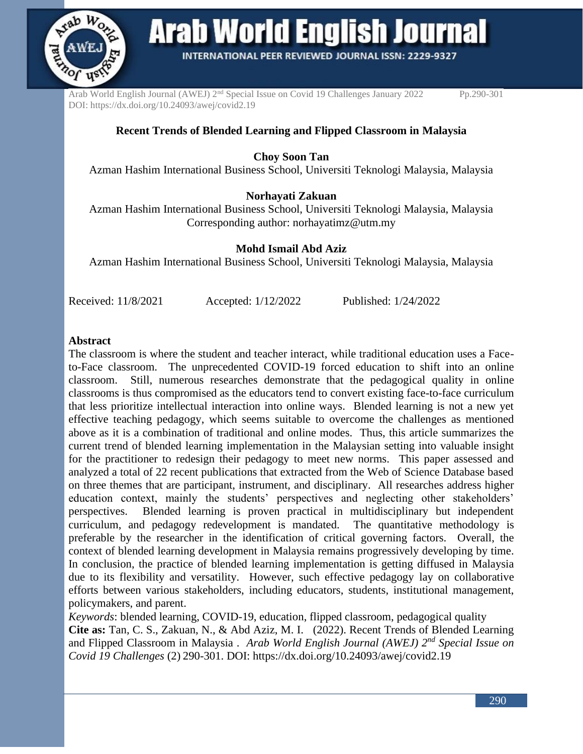

**Arab World English Journal** 

**INTERNATIONAL PEER REVIEWED JOURNAL ISSN: 2229-9327** 

Arab World English Journal (AWEJ) 2<sup>nd</sup> Special Issue on Covid 19 Challenges January 2022 Pp.290-301 DOI: https://dx.doi.org/10.24093/awej/covid2.19

# **Recent Trends of Blended Learning and Flipped Classroom in Malaysia**

**Choy Soon Tan**

Azman Hashim International Business School, Universiti Teknologi Malaysia, Malaysia

## **Norhayati Zakuan**

Azman Hashim International Business School, Universiti Teknologi Malaysia, Malaysia Corresponding author: [norhayatimz@utm.my](mailto:norhayatimz@utm.my)

## **Mohd Ismail Abd Aziz**

Azman Hashim International Business School, Universiti Teknologi Malaysia, Malaysia

Received: 11/8/2021 Accepted: 1/12/2022 Published: 1/24/2022

#### **Abstract**

The classroom is where the student and teacher interact, while traditional education uses a Faceto-Face classroom. The unprecedented COVID-19 forced education to shift into an online classroom. Still, numerous researches demonstrate that the pedagogical quality in online classrooms is thus compromised as the educators tend to convert existing face-to-face curriculum that less prioritize intellectual interaction into online ways. Blended learning is not a new yet effective teaching pedagogy, which seems suitable to overcome the challenges as mentioned above as it is a combination of traditional and online modes. Thus, this article summarizes the current trend of blended learning implementation in the Malaysian setting into valuable insight for the practitioner to redesign their pedagogy to meet new norms. This paper assessed and analyzed a total of 22 recent publications that extracted from the Web of Science Database based on three themes that are participant, instrument, and disciplinary. All researches address higher education context, mainly the students' perspectives and neglecting other stakeholders' perspectives. Blended learning is proven practical in multidisciplinary but independent curriculum, and pedagogy redevelopment is mandated. The quantitative methodology is preferable by the researcher in the identification of critical governing factors. Overall, the context of blended learning development in Malaysia remains progressively developing by time. In conclusion, the practice of blended learning implementation is getting diffused in Malaysia due to its flexibility and versatility. However, such effective pedagogy lay on collaborative efforts between various stakeholders, including educators, students, institutional management, policymakers, and parent.

*Keywords*: blended learning, COVID-19, education, flipped classroom, pedagogical quality **Cite as:** Tan, C. S., Zakuan, N., & Abd Aziz, M. I. (2022). Recent Trends of Blended Learning and Flipped Classroom in Malaysia . *Arab World English Journal (AWEJ) 2nd Special Issue on Covid 19 Challenges* (2) 290-301. DOI: https://dx.doi.org/10.24093/awej/covid2.19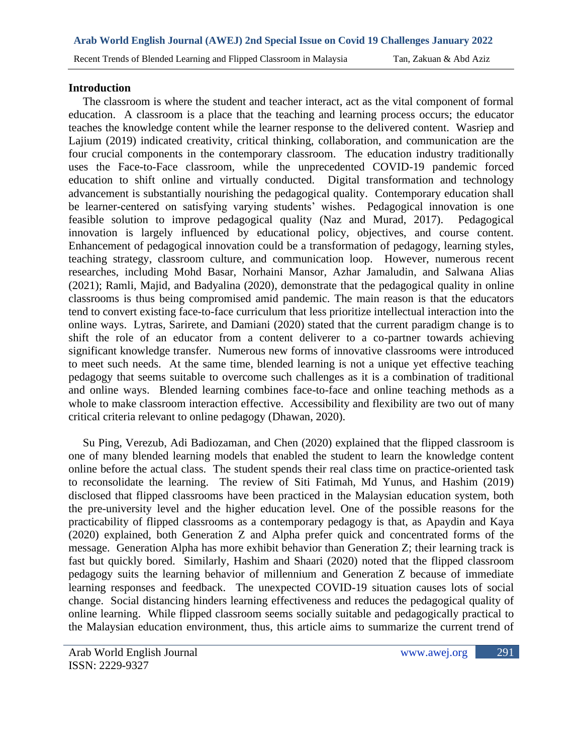## **Introduction**

 The classroom is where the student and teacher interact, act as the vital component of formal education. A classroom is a place that the teaching and learning process occurs; the educator teaches the knowledge content while the learner response to the delivered content. Wasriep and Lajium (2019) indicated creativity, critical thinking, collaboration, and communication are the four crucial components in the contemporary classroom. The education industry traditionally uses the Face-to-Face classroom, while the unprecedented COVID-19 pandemic forced education to shift online and virtually conducted. Digital transformation and technology advancement is substantially nourishing the pedagogical quality. Contemporary education shall be learner-centered on satisfying varying students' wishes. Pedagogical innovation is one feasible solution to improve pedagogical quality (Naz and Murad, 2017). Pedagogical innovation is largely influenced by educational policy, objectives, and course content. Enhancement of pedagogical innovation could be a transformation of pedagogy, learning styles, teaching strategy, classroom culture, and communication loop. However, numerous recent researches, including Mohd Basar, Norhaini Mansor, Azhar Jamaludin, and Salwana Alias (2021); Ramli, Majid, and Badyalina (2020), demonstrate that the pedagogical quality in online classrooms is thus being compromised amid pandemic. The main reason is that the educators tend to convert existing face-to-face curriculum that less prioritize intellectual interaction into the online ways. Lytras, Sarirete, and Damiani (2020) stated that the current paradigm change is to shift the role of an educator from a content deliverer to a co-partner towards achieving significant knowledge transfer. Numerous new forms of innovative classrooms were introduced to meet such needs. At the same time, blended learning is not a unique yet effective teaching pedagogy that seems suitable to overcome such challenges as it is a combination of traditional and online ways. Blended learning combines face-to-face and online teaching methods as a whole to make classroom interaction effective. Accessibility and flexibility are two out of many critical criteria relevant to online pedagogy (Dhawan, 2020).

 Su Ping, Verezub, Adi Badiozaman, and Chen (2020) explained that the flipped classroom is one of many blended learning models that enabled the student to learn the knowledge content online before the actual class. The student spends their real class time on practice-oriented task to reconsolidate the learning. The review of Siti Fatimah, Md Yunus, and Hashim (2019) disclosed that flipped classrooms have been practiced in the Malaysian education system, both the pre-university level and the higher education level. One of the possible reasons for the practicability of flipped classrooms as a contemporary pedagogy is that, as Apaydin and Kaya (2020) explained, both Generation Z and Alpha prefer quick and concentrated forms of the message. Generation Alpha has more exhibit behavior than Generation Z; their learning track is fast but quickly bored. Similarly, Hashim and Shaari (2020) noted that the flipped classroom pedagogy suits the learning behavior of millennium and Generation Z because of immediate learning responses and feedback. The unexpected COVID-19 situation causes lots of social change. Social distancing hinders learning effectiveness and reduces the pedagogical quality of online learning. While flipped classroom seems socially suitable and pedagogically practical to the Malaysian education environment, thus, this article aims to summarize the current trend of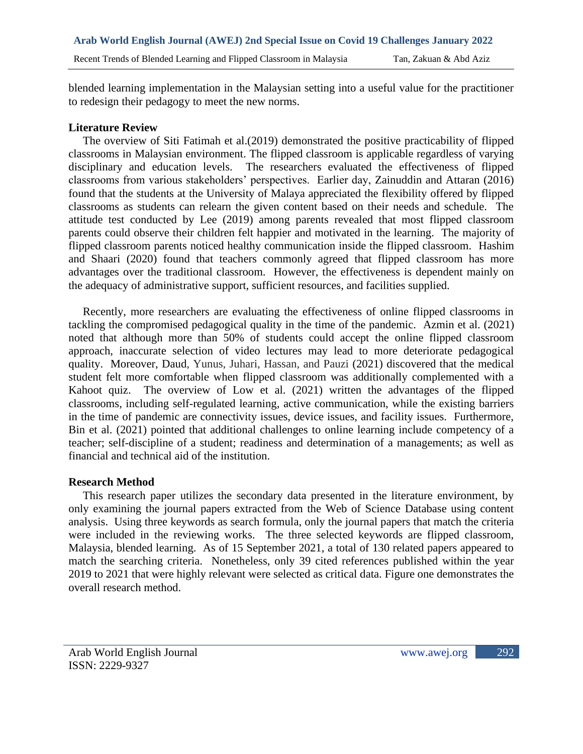blended learning implementation in the Malaysian setting into a useful value for the practitioner to redesign their pedagogy to meet the new norms.

## **Literature Review**

 The overview of Siti Fatimah et al.(2019) demonstrated the positive practicability of flipped classrooms in Malaysian environment. The flipped classroom is applicable regardless of varying disciplinary and education levels. The researchers evaluated the effectiveness of flipped classrooms from various stakeholders' perspectives. Earlier day, Zainuddin and Attaran (2016) found that the students at the University of Malaya appreciated the flexibility offered by flipped classrooms as students can relearn the given content based on their needs and schedule. The attitude test conducted by Lee (2019) among parents revealed that most flipped classroom parents could observe their children felt happier and motivated in the learning. The majority of flipped classroom parents noticed healthy communication inside the flipped classroom. Hashim and Shaari (2020) found that teachers commonly agreed that flipped classroom has more advantages over the traditional classroom. However, the effectiveness is dependent mainly on the adequacy of administrative support, sufficient resources, and facilities supplied.

 Recently, more researchers are evaluating the effectiveness of online flipped classrooms in tackling the compromised pedagogical quality in the time of the pandemic. Azmin et al. (2021) noted that although more than 50% of students could accept the online flipped classroom approach, inaccurate selection of video lectures may lead to more deteriorate pedagogical quality. Moreover, Daud, Yunus, Juhari, Hassan, and Pauzi (2021) discovered that the medical student felt more comfortable when flipped classroom was additionally complemented with a Kahoot quiz. The overview of Low et al. (2021) written the advantages of the flipped classrooms, including self-regulated learning, active communication, while the existing barriers in the time of pandemic are connectivity issues, device issues, and facility issues. Furthermore, Bin et al. (2021) pointed that additional challenges to online learning include competency of a teacher; self-discipline of a student; readiness and determination of a managements; as well as financial and technical aid of the institution.

#### **Research Method**

 This research paper utilizes the secondary data presented in the literature environment, by only examining the journal papers extracted from the Web of Science Database using content analysis. Using three keywords as search formula, only the journal papers that match the criteria were included in the reviewing works. The three selected keywords are flipped classroom, Malaysia, blended learning. As of 15 September 2021, a total of 130 related papers appeared to match the searching criteria. Nonetheless, only 39 cited references published within the year 2019 to 2021 that were highly relevant were selected as critical data. Figure one demonstrates the overall research method.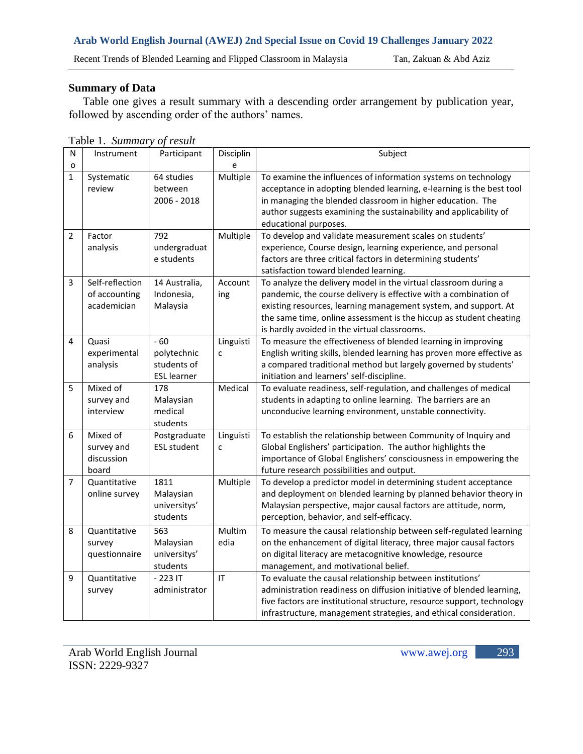Recent Trends of Blended Learning and Flipped Classroom in Malaysia Tan, Zakuan & Abd Aziz

## **Summary of Data**

 Table one gives a result summary with a descending order arrangement by publication year, followed by ascending order of the authors' names.

| N              | Instrument      | Participant        | Disciplin                         | Subject                                                                |
|----------------|-----------------|--------------------|-----------------------------------|------------------------------------------------------------------------|
| o              |                 |                    | e                                 |                                                                        |
| $\mathbf{1}$   | Systematic      | 64 studies         | Multiple                          | To examine the influences of information systems on technology         |
|                | review          | between            |                                   | acceptance in adopting blended learning, e-learning is the best tool   |
|                |                 | 2006 - 2018        |                                   | in managing the blended classroom in higher education. The             |
|                |                 |                    |                                   | author suggests examining the sustainability and applicability of      |
|                |                 |                    |                                   | educational purposes.                                                  |
| $\overline{2}$ | Factor          | 792                | Multiple                          | To develop and validate measurement scales on students'                |
|                | analysis        | undergraduat       |                                   | experience, Course design, learning experience, and personal           |
|                |                 | e students         |                                   | factors are three critical factors in determining students'            |
|                |                 |                    |                                   | satisfaction toward blended learning.                                  |
| $\overline{3}$ | Self-reflection | 14 Australia,      | Account                           | To analyze the delivery model in the virtual classroom during a        |
|                | of accounting   | Indonesia,         | ing                               | pandemic, the course delivery is effective with a combination of       |
|                | academician     | Malaysia           |                                   | existing resources, learning management system, and support. At        |
|                |                 |                    |                                   | the same time, online assessment is the hiccup as student cheating     |
|                |                 |                    |                                   | is hardly avoided in the virtual classrooms.                           |
| 4              | Quasi           | $-60$              | Linguisti                         | To measure the effectiveness of blended learning in improving          |
|                | experimental    | polytechnic        | C                                 | English writing skills, blended learning has proven more effective as  |
|                | analysis        | students of        |                                   | a compared traditional method but largely governed by students'        |
|                |                 | <b>ESL</b> learner |                                   | initiation and learners' self-discipline.                              |
| 5              | Mixed of        | 178                | Medical                           | To evaluate readiness, self-regulation, and challenges of medical      |
|                | survey and      | Malaysian          |                                   | students in adapting to online learning. The barriers are an           |
|                | interview       | medical            |                                   | unconducive learning environment, unstable connectivity.               |
|                |                 | students           |                                   |                                                                        |
| 6              | Mixed of        | Postgraduate       | Linguisti                         | To establish the relationship between Community of Inquiry and         |
|                | survey and      | <b>ESL student</b> | C                                 | Global Englishers' participation. The author highlights the            |
|                | discussion      |                    |                                   | importance of Global Englishers' consciousness in empowering the       |
|                | board           |                    |                                   | future research possibilities and output.                              |
| $\overline{7}$ | Quantitative    | 1811               | Multiple                          | To develop a predictor model in determining student acceptance         |
|                | online survey   | Malaysian          |                                   | and deployment on blended learning by planned behavior theory in       |
|                |                 | universitys'       |                                   | Malaysian perspective, major causal factors are attitude, norm,        |
|                |                 | students           |                                   | perception, behavior, and self-efficacy.                               |
| 8              | Quantitative    | 563                | Multim                            | To measure the causal relationship between self-regulated learning     |
|                | survey          | Malaysian          | edia                              | on the enhancement of digital literacy, three major causal factors     |
|                | questionnaire   | universitys'       |                                   | on digital literacy are metacognitive knowledge, resource              |
|                |                 | students           |                                   | management, and motivational belief.                                   |
| 9              | Quantitative    | $-223$ IT          | $\ensuremath{\mathsf{IT}}\xspace$ | To evaluate the causal relationship between institutions'              |
|                | survey          | administrator      |                                   | administration readiness on diffusion initiative of blended learning,  |
|                |                 |                    |                                   | five factors are institutional structure, resource support, technology |
|                |                 |                    |                                   | infrastructure, management strategies, and ethical consideration.      |

Table 1. *Summary of result*

293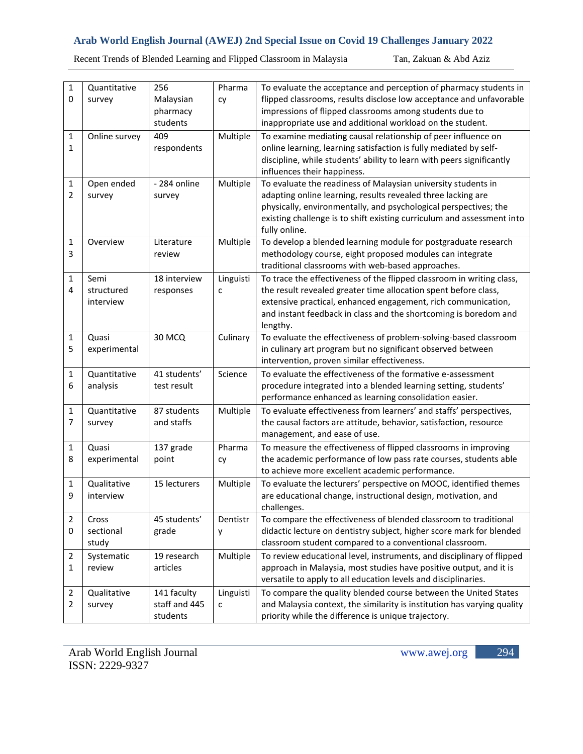Recent Trends of Blended Learning and Flipped Classroom in Malaysia Tan, Zakuan & Abd Aziz

| 1            | Quantitative  | 256           | Pharma    | To evaluate the acceptance and perception of pharmacy students in       |
|--------------|---------------|---------------|-----------|-------------------------------------------------------------------------|
| $\mathbf 0$  | survey        | Malaysian     | cy        | flipped classrooms, results disclose low acceptance and unfavorable     |
|              |               | pharmacy      |           | impressions of flipped classrooms among students due to                 |
|              |               | students      |           | inappropriate use and additional workload on the student.               |
| 1            | Online survey | 409           | Multiple  | To examine mediating causal relationship of peer influence on           |
| $\mathbf{1}$ |               | respondents   |           | online learning, learning satisfaction is fully mediated by self-       |
|              |               |               |           | discipline, while students' ability to learn with peers significantly   |
|              |               |               |           | influences their happiness.                                             |
| 1            | Open ended    | - 284 online  | Multiple  | To evaluate the readiness of Malaysian university students in           |
| 2            | survey        | survey        |           | adapting online learning, results revealed three lacking are            |
|              |               |               |           | physically, environmentally, and psychological perspectives; the        |
|              |               |               |           | existing challenge is to shift existing curriculum and assessment into  |
|              |               |               |           | fully online.                                                           |
| 1            | Overview      | Literature    | Multiple  | To develop a blended learning module for postgraduate research          |
| 3            |               | review        |           | methodology course, eight proposed modules can integrate                |
|              |               |               |           | traditional classrooms with web-based approaches.                       |
| 1            | Semi          | 18 interview  | Linguisti | To trace the effectiveness of the flipped classroom in writing class,   |
| 4            | structured    | responses     | с         | the result revealed greater time allocation spent before class,         |
|              | interview     |               |           | extensive practical, enhanced engagement, rich communication,           |
|              |               |               |           | and instant feedback in class and the shortcoming is boredom and        |
|              |               |               |           | lengthy.                                                                |
| 1            | Quasi         | 30 MCQ        | Culinary  | To evaluate the effectiveness of problem-solving-based classroom        |
| 5            | experimental  |               |           | in culinary art program but no significant observed between             |
|              |               |               |           | intervention, proven similar effectiveness.                             |
| 1            | Quantitative  | 41 students'  | Science   | To evaluate the effectiveness of the formative e-assessment             |
| 6            | analysis      | test result   |           | procedure integrated into a blended learning setting, students'         |
|              |               |               |           | performance enhanced as learning consolidation easier.                  |
| 1            | Quantitative  | 87 students   | Multiple  | To evaluate effectiveness from learners' and staffs' perspectives,      |
| 7            | survey        | and staffs    |           | the causal factors are attitude, behavior, satisfaction, resource       |
|              |               |               |           | management, and ease of use.                                            |
| 1            | Quasi         | 137 grade     | Pharma    | To measure the effectiveness of flipped classrooms in improving         |
| 8            | experimental  | point         | cy        | the academic performance of low pass rate courses, students able        |
|              |               |               |           | to achieve more excellent academic performance.                         |
| 1            | Qualitative   | 15 lecturers  | Multiple  | To evaluate the lecturers' perspective on MOOC, identified themes       |
| 9            | interview     |               |           | are educational change, instructional design, motivation, and           |
|              |               |               |           | challenges.                                                             |
| 2            | Cross         | 45 students'  | Dentistr  | To compare the effectiveness of blended classroom to traditional        |
| 0            | sectional     | grade         | y         | didactic lecture on dentistry subject, higher score mark for blended    |
|              | study         |               |           | classroom student compared to a conventional classroom.                 |
| 2            | Systematic    | 19 research   | Multiple  | To review educational level, instruments, and disciplinary of flipped   |
| 1            | review        | articles      |           | approach in Malaysia, most studies have positive output, and it is      |
|              |               |               |           | versatile to apply to all education levels and disciplinaries.          |
| 2            | Qualitative   | 141 faculty   | Linguisti | To compare the quality blended course between the United States         |
| 2            | survey        | staff and 445 | с         | and Malaysia context, the similarity is institution has varying quality |
|              |               | students      |           | priority while the difference is unique trajectory.                     |

294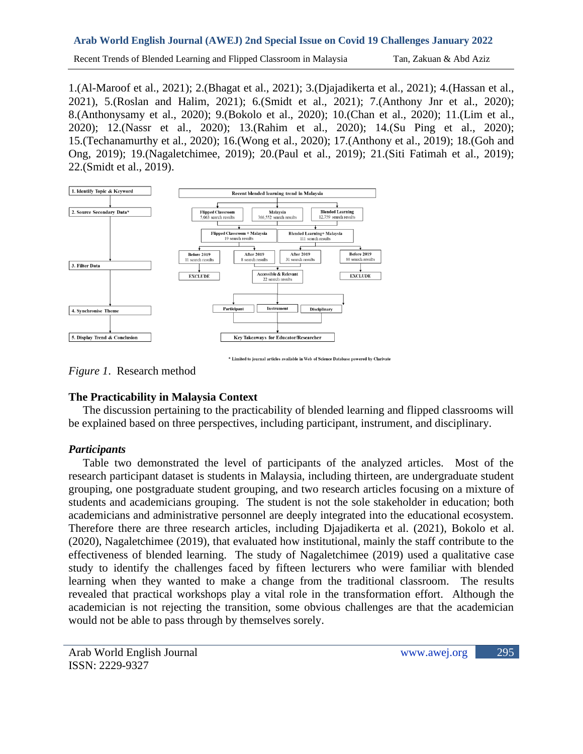Recent Trends of Blended Learning and Flipped Classroom in Malaysia Tan, Zakuan & Abd Aziz

1.(Al-Maroof et al., 2021); 2.(Bhagat et al., 2021); 3.(Djajadikerta et al., 2021); 4.(Hassan et al., 2021), 5.(Roslan and Halim, 2021); 6.(Smidt et al., 2021); 7.(Anthony Jnr et al., 2020); 8.(Anthonysamy et al., 2020); 9.(Bokolo et al., 2020); 10.(Chan et al., 2020); 11.(Lim et al., 2020); 12.(Nassr et al., 2020); 13.(Rahim et al., 2020); 14.(Su Ping et al., 2020); 15.(Techanamurthy et al., 2020); 16.(Wong et al., 2020); 17.(Anthony et al., 2019); 18.(Goh and Ong, 2019); 19.(Nagaletchimee, 2019); 20.(Paul et al., 2019); 21.(Siti Fatimah et al., 2019); 22.(Smidt et al., 2019).



\* Limited to journal articles available in Web of Science Database powered by Clarivate

*Figure 1*. Research method

# **The Practicability in Malaysia Context**

 The discussion pertaining to the practicability of blended learning and flipped classrooms will be explained based on three perspectives, including participant, instrument, and disciplinary.

# *Participants*

 Table two demonstrated the level of participants of the analyzed articles. Most of the research participant dataset is students in Malaysia, including thirteen, are undergraduate student grouping, one postgraduate student grouping, and two research articles focusing on a mixture of students and academicians grouping. The student is not the sole stakeholder in education; both academicians and administrative personnel are deeply integrated into the educational ecosystem. Therefore there are three research articles, including Djajadikerta et al. (2021), Bokolo et al. (2020), Nagaletchimee (2019), that evaluated how institutional, mainly the staff contribute to the effectiveness of blended learning. The study of Nagaletchimee (2019) used a qualitative case study to identify the challenges faced by fifteen lecturers who were familiar with blended learning when they wanted to make a change from the traditional classroom. The results revealed that practical workshops play a vital role in the transformation effort. Although the academician is not rejecting the transition, some obvious challenges are that the academician would not be able to pass through by themselves sorely.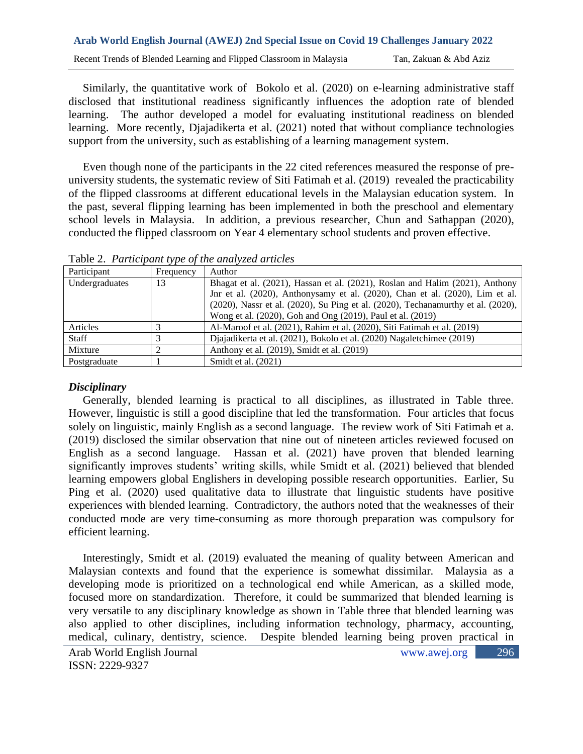Similarly, the quantitative work of Bokolo et al. (2020) on e-learning administrative staff disclosed that institutional readiness significantly influences the adoption rate of blended learning. The author developed a model for evaluating institutional readiness on blended learning. More recently, Djajadikerta et al. (2021) noted that without compliance technologies support from the university, such as establishing of a learning management system.

 Even though none of the participants in the 22 cited references measured the response of preuniversity students, the systematic review of Siti Fatimah et al. (2019) revealed the practicability of the flipped classrooms at different educational levels in the Malaysian education system. In the past, several flipping learning has been implemented in both the preschool and elementary school levels in Malaysia. In addition, a previous researcher, Chun and Sathappan (2020), conducted the flipped classroom on Year 4 elementary school students and proven effective.

| <b>Tuble 2.</b> I an incipally type of the analyzed annexes |           |                                                                                              |  |
|-------------------------------------------------------------|-----------|----------------------------------------------------------------------------------------------|--|
| Participant                                                 | Frequency | Author                                                                                       |  |
| Undergraduates                                              | 13        | Bhagat et al. (2021), Hassan et al. (2021), Roslan and Halim (2021), Anthony                 |  |
|                                                             |           | Jnr et al. (2020), Anthonysamy et al. (2020), Chan et al. (2020), Lim et al.                 |  |
|                                                             |           | $(2020)$ , Nassr et al. $(2020)$ , Su Ping et al. $(2020)$ , Techanamurthy et al. $(2020)$ , |  |
|                                                             |           | Wong et al. (2020), Goh and Ong (2019), Paul et al. (2019)                                   |  |
| Articles                                                    |           | Al-Maroof et al. (2021), Rahim et al. (2020), Siti Fatimah et al. (2019)                     |  |
| <b>Staff</b>                                                |           | Djajadikerta et al. (2021), Bokolo et al. (2020) Nagaletchimee (2019)                        |  |
| Mixture                                                     |           | Anthony et al. (2019), Smidt et al. (2019)                                                   |  |
| Postgraduate                                                |           | Smidt et al. $(2021)$                                                                        |  |

Table 2. *Participant type of the analyzed articles*

# *Disciplinary*

 Generally, blended learning is practical to all disciplines, as illustrated in Table three. However, linguistic is still a good discipline that led the transformation. Four articles that focus solely on linguistic, mainly English as a second language. The review work of Siti Fatimah et a. (2019) disclosed the similar observation that nine out of nineteen articles reviewed focused on English as a second language. Hassan et al. (2021) have proven that blended learning significantly improves students' writing skills, while Smidt et al. (2021) believed that blended learning empowers global Englishers in developing possible research opportunities. Earlier, Su Ping et al. (2020) used qualitative data to illustrate that linguistic students have positive experiences with blended learning. Contradictory, the authors noted that the weaknesses of their conducted mode are very time-consuming as more thorough preparation was compulsory for efficient learning.

 Interestingly, Smidt et al. (2019) evaluated the meaning of quality between American and Malaysian contexts and found that the experience is somewhat dissimilar. Malaysia as a developing mode is prioritized on a technological end while American, as a skilled mode, focused more on standardization. Therefore, it could be summarized that blended learning is very versatile to any disciplinary knowledge as shown in Table three that blended learning was also applied to other disciplines, including information technology, pharmacy, accounting, medical, culinary, dentistry, science. Despite blended learning being proven practical in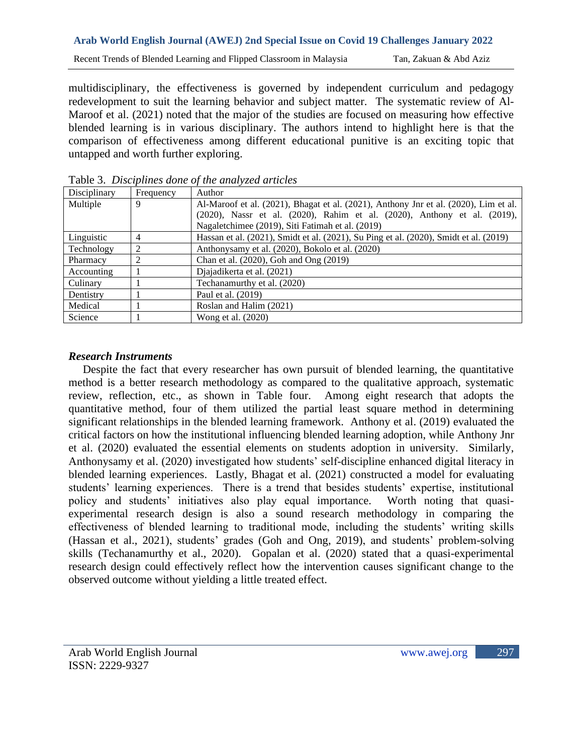multidisciplinary, the effectiveness is governed by independent curriculum and pedagogy redevelopment to suit the learning behavior and subject matter. The systematic review of Al-Maroof et al. (2021) noted that the major of the studies are focused on measuring how effective blended learning is in various disciplinary. The authors intend to highlight here is that the comparison of effectiveness among different educational punitive is an exciting topic that untapped and worth further exploring.

| Disciplinary | Frequency | Author                                                                                |
|--------------|-----------|---------------------------------------------------------------------------------------|
| Multiple     | 9         | Al-Maroof et al. (2021), Bhagat et al. (2021), Anthony Jnr et al. (2020), Lim et al.  |
|              |           | (2020), Nassr et al. (2020), Rahim et al. (2020), Anthony et al. (2019),              |
|              |           | Nagaletchimee (2019), Siti Fatimah et al. (2019)                                      |
| Linguistic   | 4         | Hassan et al. (2021), Smidt et al. (2021), Su Ping et al. (2020), Smidt et al. (2019) |
| Technology   |           | Anthonysamy et al. (2020), Bokolo et al. (2020)                                       |
| Pharmacy     |           | Chan et al. (2020), Goh and Ong (2019)                                                |
| Accounting   |           | Diajadikerta et al. (2021)                                                            |
| Culinary     |           | Techanamurthy et al. (2020)                                                           |
| Dentistry    |           | Paul et al. (2019)                                                                    |
| Medical      |           | Roslan and Halim (2021)                                                               |
| Science      |           | Wong et al. (2020)                                                                    |

Table 3. *Disciplines done of the analyzed articles*

# *Research Instruments*

 Despite the fact that every researcher has own pursuit of blended learning, the quantitative method is a better research methodology as compared to the qualitative approach, systematic review, reflection, etc., as shown in Table four. Among eight research that adopts the quantitative method, four of them utilized the partial least square method in determining significant relationships in the blended learning framework. Anthony et al. (2019) evaluated the critical factors on how the institutional influencing blended learning adoption, while Anthony Jnr et al. (2020) evaluated the essential elements on students adoption in university. Similarly, Anthonysamy et al. (2020) investigated how students' self-discipline enhanced digital literacy in blended learning experiences. Lastly, Bhagat et al. (2021) constructed a model for evaluating students' learning experiences. There is a trend that besides students' expertise, institutional policy and students' initiatives also play equal importance. Worth noting that quasiexperimental research design is also a sound research methodology in comparing the effectiveness of blended learning to traditional mode, including the students' writing skills (Hassan et al., 2021), students' grades (Goh and Ong, 2019), and students' problem-solving skills (Techanamurthy et al., 2020). Gopalan et al. (2020) stated that a quasi-experimental research design could effectively reflect how the intervention causes significant change to the observed outcome without yielding a little treated effect.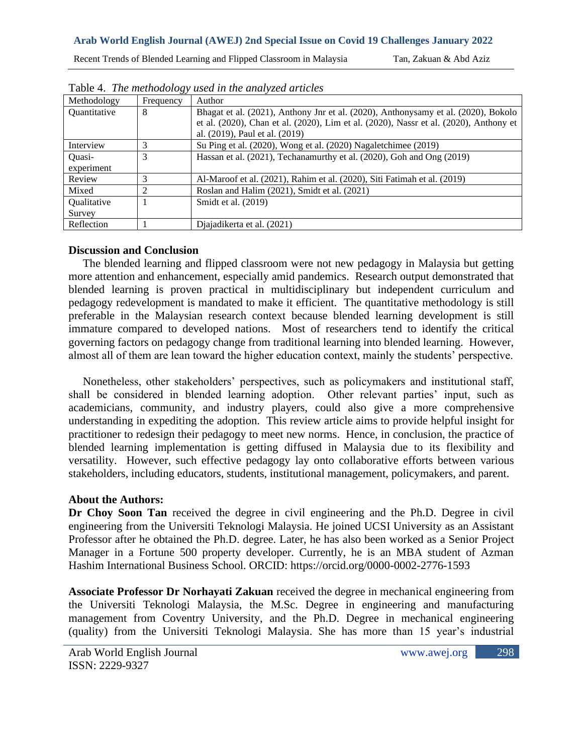Recent Trends of Blended Learning and Flipped Classroom in Malaysia Tan, Zakuan & Abd Aziz

| Methodology  | Frequency | <b>THOIC</b> II THE HIGHTOWORD TO WOOD THE HIGH CHILLET CHEVOLOGIC.<br>Author         |
|--------------|-----------|---------------------------------------------------------------------------------------|
| Quantitative | 8         | Bhagat et al. (2021), Anthony Jnr et al. (2020), Anthonysamy et al. (2020), Bokolo    |
|              |           | et al. (2020), Chan et al. (2020), Lim et al. (2020), Nassr et al. (2020), Anthony et |
|              |           | al. (2019), Paul et al. (2019)                                                        |
| Interview    |           | Su Ping et al. (2020), Wong et al. (2020) Nagaletchimee (2019)                        |
| Quasi-       |           | Hassan et al. (2021), Techanamurthy et al. (2020), Goh and Ong (2019)                 |
| experiment   |           |                                                                                       |
| Review       |           | Al-Maroof et al. (2021), Rahim et al. (2020), Siti Fatimah et al. (2019)              |
| Mixed        |           | Roslan and Halim (2021), Smidt et al. (2021)                                          |
| Qualitative  |           | Smidt et al. $(2019)$                                                                 |
| Survey       |           |                                                                                       |
| Reflection   |           | Diajadikerta et al. (2021)                                                            |

Table 4. *The methodology used in the analyzed articles*

# **Discussion and Conclusion**

 The blended learning and flipped classroom were not new pedagogy in Malaysia but getting more attention and enhancement, especially amid pandemics. Research output demonstrated that blended learning is proven practical in multidisciplinary but independent curriculum and pedagogy redevelopment is mandated to make it efficient. The quantitative methodology is still preferable in the Malaysian research context because blended learning development is still immature compared to developed nations. Most of researchers tend to identify the critical governing factors on pedagogy change from traditional learning into blended learning. However, almost all of them are lean toward the higher education context, mainly the students' perspective.

 Nonetheless, other stakeholders' perspectives, such as policymakers and institutional staff, shall be considered in blended learning adoption. Other relevant parties' input, such as academicians, community, and industry players, could also give a more comprehensive understanding in expediting the adoption. This review article aims to provide helpful insight for practitioner to redesign their pedagogy to meet new norms. Hence, in conclusion, the practice of blended learning implementation is getting diffused in Malaysia due to its flexibility and versatility. However, such effective pedagogy lay onto collaborative efforts between various stakeholders, including educators, students, institutional management, policymakers, and parent.

# **About the Authors:**

**Dr Choy Soon Tan** received the degree in civil engineering and the Ph.D. Degree in civil engineering from the Universiti Teknologi Malaysia. He joined UCSI University as an Assistant Professor after he obtained the Ph.D. degree. Later, he has also been worked as a Senior Project Manager in a Fortune 500 property developer. Currently, he is an MBA student of Azman Hashim International Business School. ORCID: https://orcid.org/0000-0002-2776-1593

**Associate Professor Dr Norhayati Zakuan** received the degree in mechanical engineering from the Universiti Teknologi Malaysia, the M.Sc. Degree in engineering and manufacturing management from Coventry University, and the Ph.D. Degree in mechanical engineering (quality) from the Universiti Teknologi Malaysia. She has more than 15 year's industrial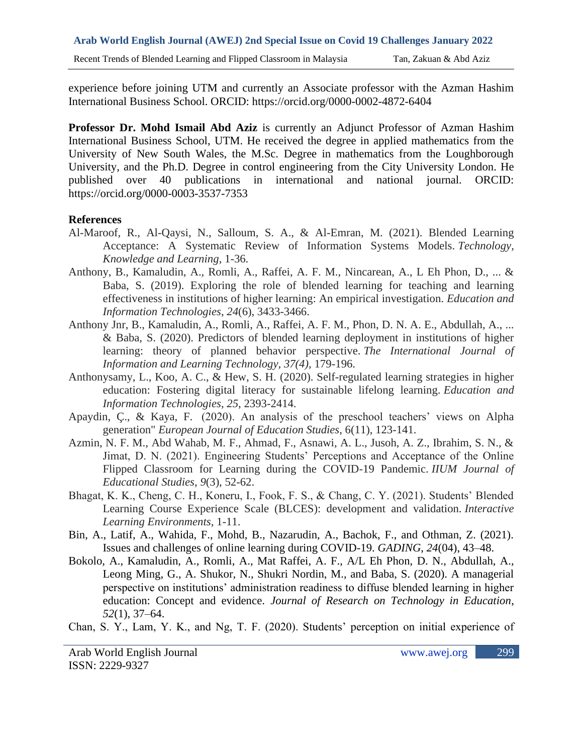experience before joining UTM and currently an Associate professor with the Azman Hashim International Business School. ORCID: https://orcid.org/0000-0002-4872-6404

**Professor Dr. Mohd Ismail Abd Aziz** is currently an Adjunct Professor of Azman Hashim International Business School, UTM. He received the degree in applied mathematics from the University of New South Wales, the M.Sc. Degree in mathematics from the Loughborough University, and the Ph.D. Degree in control engineering from the City University London. He published over 40 publications in international and national journal. ORCID: https://orcid.org/0000-0003-3537-7353

## **References**

- Al-Maroof, R., Al-Qaysi, N., Salloum, S. A., & Al-Emran, M. (2021). Blended Learning Acceptance: A Systematic Review of Information Systems Models. *Technology, Knowledge and Learning*, 1-36.
- Anthony, B., Kamaludin, A., Romli, A., Raffei, A. F. M., Nincarean, A., L Eh Phon, D., ... & Baba, S. (2019). Exploring the role of blended learning for teaching and learning effectiveness in institutions of higher learning: An empirical investigation. *Education and Information Technologies*, *24*(6), 3433-3466.
- Anthony Jnr, B., Kamaludin, A., Romli, A., Raffei, A. F. M., Phon, D. N. A. E., Abdullah, A., ... & Baba, S. (2020). Predictors of blended learning deployment in institutions of higher learning: theory of planned behavior perspective. *The International Journal of Information and Learning Technology, 37(4),* 179-196.
- Anthonysamy, L., Koo, A. C., & Hew, S. H. (2020). Self-regulated learning strategies in higher education: Fostering digital literacy for sustainable lifelong learning. *Education and Information Technologies*, *25*, 2393-2414.
- Apaydin, Ç., & Kaya, F. (2020). An analysis of the preschool teachers' views on Alpha generation" *European Journal of Education Studies*, 6(11), 123-141.
- Azmin, N. F. M., Abd Wahab, M. F., Ahmad, F., Asnawi, A. L., Jusoh, A. Z., Ibrahim, S. N., & Jimat, D. N. (2021). Engineering Students' Perceptions and Acceptance of the Online Flipped Classroom for Learning during the COVID-19 Pandemic. *IIUM Journal of Educational Studies*, *9*(3), 52-62.
- Bhagat, K. K., Cheng, C. H., Koneru, I., Fook, F. S., & Chang, C. Y. (2021). Students' Blended Learning Course Experience Scale (BLCES): development and validation. *Interactive Learning Environments*, 1-11.
- Bin, A., Latif, A., Wahida, F., Mohd, B., Nazarudin, A., Bachok, F., and Othman, Z. (2021). Issues and challenges of online learning during COVID-19. *GADING*, *24*(04), 43–48.
- Bokolo, A., Kamaludin, A., Romli, A., Mat Raffei, A. F., A/L Eh Phon, D. N., Abdullah, A., Leong Ming, G., A. Shukor, N., Shukri Nordin, M., and Baba, S. (2020). A managerial perspective on institutions' administration readiness to diffuse blended learning in higher education: Concept and evidence. *Journal of Research on Technology in Education*, *52*(1), 37–64.
- Chan, S. Y., Lam, Y. K., and Ng, T. F. (2020). Students' perception on initial experience of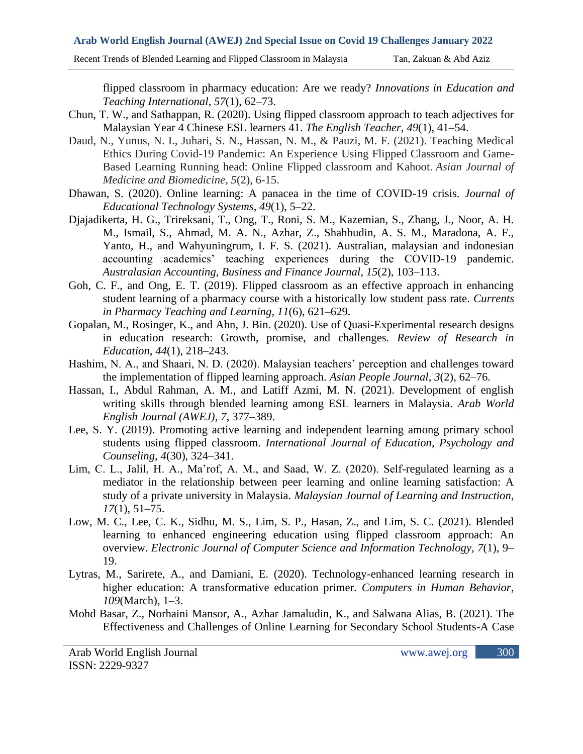flipped classroom in pharmacy education: Are we ready? *Innovations in Education and Teaching International*, *57*(1), 62–73.

- Chun, T. W., and Sathappan, R. (2020). Using flipped classroom approach to teach adjectives for Malaysian Year 4 Chinese ESL learners 41. *The English Teacher*, *49*(1), 41–54.
- Daud, N., Yunus, N. I., Juhari, S. N., Hassan, N. M., & Pauzi, M. F. (2021). Teaching Medical Ethics During Covid-19 Pandemic: An Experience Using Flipped Classroom and Game-Based Learning Running head: Online Flipped classroom and Kahoot. *Asian Journal of Medicine and Biomedicine*, *5*(2), 6-15.
- Dhawan, S. (2020). Online learning: A panacea in the time of COVID-19 crisis. *Journal of Educational Technology Systems*, *49*(1), 5–22.
- Djajadikerta, H. G., Trireksani, T., Ong, T., Roni, S. M., Kazemian, S., Zhang, J., Noor, A. H. M., Ismail, S., Ahmad, M. A. N., Azhar, Z., Shahbudin, A. S. M., Maradona, A. F., Yanto, H., and Wahyuningrum, I. F. S. (2021). Australian, malaysian and indonesian accounting academics' teaching experiences during the COVID-19 pandemic. *Australasian Accounting, Business and Finance Journal*, *15*(2), 103–113.
- Goh, C. F., and Ong, E. T. (2019). Flipped classroom as an effective approach in enhancing student learning of a pharmacy course with a historically low student pass rate. *Currents in Pharmacy Teaching and Learning*, *11*(6), 621–629.
- Gopalan, M., Rosinger, K., and Ahn, J. Bin. (2020). Use of Quasi-Experimental research designs in education research: Growth, promise, and challenges. *Review of Research in Education*, *44*(1), 218–243.
- Hashim, N. A., and Shaari, N. D. (2020). Malaysian teachers' perception and challenges toward the implementation of flipped learning approach. *Asian People Journal*, *3*(2), 62–76.
- Hassan, I., Abdul Rahman, A. M., and Latiff Azmi, M. N. (2021). Development of english writing skills through blended learning among ESL learners in Malaysia. *Arab World English Journal (AWEJ)*, *7*, 377–389.
- Lee, S. Y. (2019). Promoting active learning and independent learning among primary school students using flipped classroom. *International Journal of Education, Psychology and Counseling*, *4*(30), 324–341.
- Lim, C. L., Jalil, H. A., Ma'rof, A. M., and Saad, W. Z. (2020). Self-regulated learning as a mediator in the relationship between peer learning and online learning satisfaction: A study of a private university in Malaysia. *Malaysian Journal of Learning and Instruction*, *17*(1), 51–75.
- Low, M. C., Lee, C. K., Sidhu, M. S., Lim, S. P., Hasan, Z., and Lim, S. C. (2021). Blended learning to enhanced engineering education using flipped classroom approach: An overview. *Electronic Journal of Computer Science and Information Technology*, *7*(1), 9– 19.
- Lytras, M., Sarirete, A., and Damiani, E. (2020). Technology-enhanced learning research in higher education: A transformative education primer. *Computers in Human Behavior*, *109*(March), 1–3.
- Mohd Basar, Z., Norhaini Mansor, A., Azhar Jamaludin, K., and Salwana Alias, B. (2021). The Effectiveness and Challenges of Online Learning for Secondary School Students-A Case